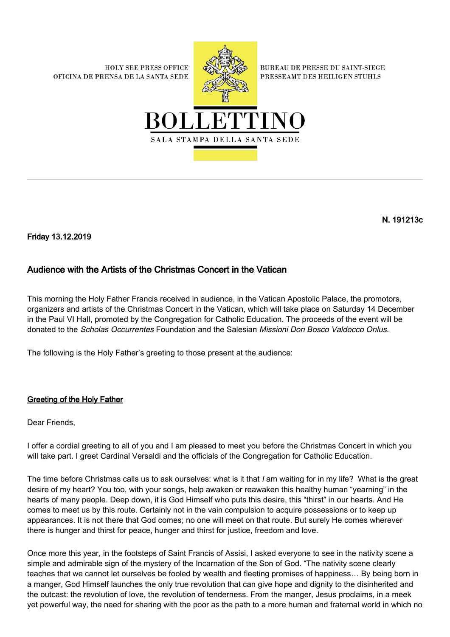**HOLY SEE PRESS OFFICE** OFICINA DE PRENSA DE LA SANTA SEDE



**BUREAU DE PRESSE DU SAINT-SIEGE** PRESSEAMT DES HEILIGEN STUHLS



N. 191213c

Friday 13.12.2019

## Audience with the Artists of the Christmas Concert in the Vatican

This morning the Holy Father Francis received in audience, in the Vatican Apostolic Palace, the promotors, organizers and artists of the Christmas Concert in the Vatican, which will take place on Saturday 14 December in the Paul VI Hall, promoted by the Congregation for Catholic Education. The proceeds of the event will be donated to the Scholas Occurrentes Foundation and the Salesian Missioni Don Bosco Valdocco Onlus.

The following is the Holy Father's greeting to those present at the audience:

## Greeting of the Holy Father

Dear Friends,

I offer a cordial greeting to all of you and I am pleased to meet you before the Christmas Concert in which you will take part. I greet Cardinal Versaldi and the officials of the Congregation for Catholic Education.

The time before Christmas calls us to ask ourselves: what is it that I am waiting for in my life? What is the great desire of my heart? You too, with your songs, help awaken or reawaken this healthy human "yearning" in the hearts of many people. Deep down, it is God Himself who puts this desire, this "thirst" in our hearts. And He comes to meet us by this route. Certainly not in the vain compulsion to acquire possessions or to keep up appearances. It is not there that God comes; no one will meet on that route. But surely He comes wherever there is hunger and thirst for peace, hunger and thirst for justice, freedom and love.

Once more this year, in the footsteps of Saint Francis of Assisi, I asked everyone to see in the nativity scene a simple and admirable sign of the mystery of the Incarnation of the Son of God. "The nativity scene clearly teaches that we cannot let ourselves be fooled by wealth and fleeting promises of happiness… By being born in a manger, God Himself launches the only true revolution that can give hope and dignity to the disinherited and the outcast: the revolution of love, the revolution of tenderness. From the manger, Jesus proclaims, in a meek yet powerful way, the need for sharing with the poor as the path to a more human and fraternal world in which no